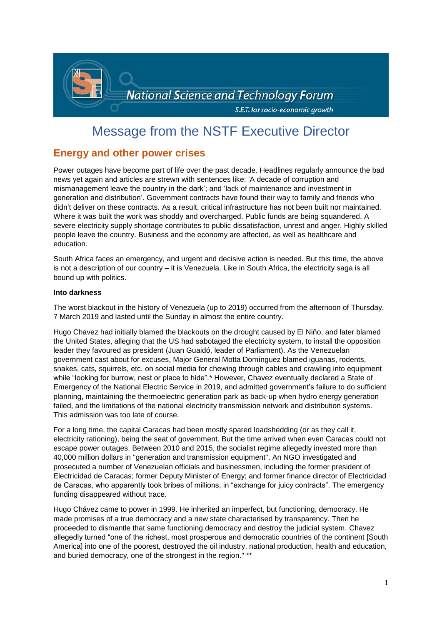

# Message from the NSTF Executive Director

# **Energy and other power crises**

Power outages have become part of life over the past decade. Headlines regularly announce the bad news yet again and articles are strewn with sentences like: 'A decade of corruption and mismanagement leave the country in the dark'; and 'lack of maintenance and investment in generation and distribution'. Government contracts have found their way to family and friends who didn't deliver on these contracts. As a result, critical infrastructure has not been built nor maintained. Where it was built the work was shoddy and overcharged. Public funds are being squandered. A severe electricity supply shortage contributes to public dissatisfaction, unrest and anger. Highly skilled people leave the country. Business and the economy are affected, as well as healthcare and education.

South Africa faces an emergency, and urgent and decisive action is needed. But this time, the above is not a description of our country – it is Venezuela. Like in South Africa, the electricity saga is all bound up with politics.

## **Into darkness**

The worst blackout in the history of Venezuela (up to 2019) occurred from the afternoon of Thursday, 7 March 2019 and lasted until the Sunday in almost the entire country.

Hugo Chavez had initially blamed the blackouts on the drought caused by El Niño, and later blamed the United States, alleging that the US had sabotaged the electricity system, to install the opposition leader they favoured as president (Juan Guaidó, leader of Parliament). As the Venezuelan government cast about for excuses, Major General Motta Domínguez blamed iguanas, rodents, snakes, cats, squirrels, etc. on social media for chewing through cables and crawling into equipment while "looking for burrow, nest or place to hide".\* However, Chavez eventually declared a State of Emergency of the National Electric Service in 2019, and admitted government's failure to do sufficient planning, maintaining the thermoelectric generation park as back-up when hydro energy generation failed, and the limitations of the national electricity transmission network and distribution systems. This admission was too late of course.

For a long time, the capital Caracas had been mostly spared loadshedding (or as they call it, electricity rationing), being the seat of government. But the time arrived when even Caracas could not escape power outages. Between 2010 and 2015, the socialist regime allegedly invested more than 40,000 million dollars in "generation and transmission equipment". An NGO investigated and prosecuted a number of Venezuelan officials and businessmen, including the former president of Electricidad de Caracas; former Deputy Minister of Energy; and former finance director of Electricidad de Caracas, who apparently took bribes of millions, in "exchange for juicy contracts". The emergency funding disappeared without trace.

Hugo Chávez came to power in 1999. He inherited an imperfect, but functioning, democracy. He made promises of a true democracy and a new state characterised by transparency. Then he proceeded to dismantle that same functioning democracy and destroy the judicial system. Chavez allegedly turned "one of the richest, most prosperous and democratic countries of the continent [South America] into one of the poorest, destroyed the oil industry, national production, health and education, and buried democracy, one of the strongest in the region." \*\*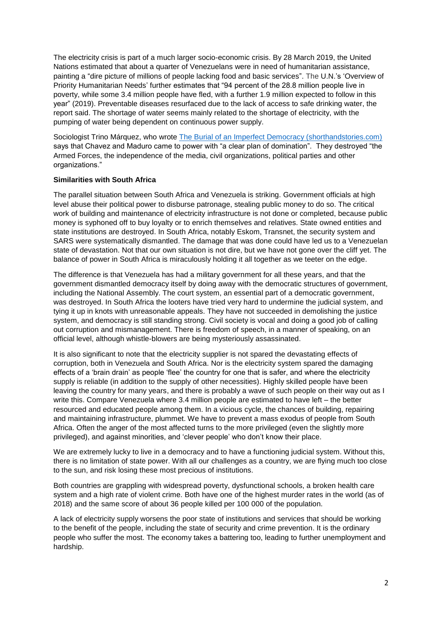The electricity crisis is part of a much larger socio-economic crisis. By 28 March 2019, the United Nations estimated that about a quarter of Venezuelans were in need of humanitarian assistance, painting a "dire picture of millions of people lacking food and basic services". The U.N.'s 'Overview of Priority Humanitarian Needs' further estimates that "94 percent of the 28.8 million people live in poverty, while some 3.4 million people have fled, with a further 1.9 million expected to follow in this year" (2019). Preventable diseases resurfaced due to the lack of access to safe drinking water, the report said. The shortage of water seems mainly related to the shortage of electricity, with the pumping of water being dependent on continuous power supply.

Sociologist Trino Márquez, who wrote [The Burial of an Imperfect Democracy \(shorthandstories.com\)](https://alianza.shorthandstories.com/el-entierro-de-una-democracia-imperfecta/index.html) says that Chavez and Maduro came to power with "a clear plan of domination". They destroyed "the Armed Forces, the independence of the media, civil organizations, political parties and other organizations."

## **Similarities with South Africa**

The parallel situation between South Africa and Venezuela is striking. Government officials at high level abuse their political power to disburse patronage, stealing public money to do so. The critical work of building and maintenance of electricity infrastructure is not done or completed, because public money is syphoned off to buy loyalty or to enrich themselves and relatives. State owned entities and state institutions are destroyed. In South Africa, notably Eskom, Transnet, the security system and SARS were systematically dismantled. The damage that was done could have led us to a Venezuelan state of devastation. Not that our own situation is not dire, but we have not gone over the cliff yet. The balance of power in South Africa is miraculously holding it all together as we teeter on the edge.

The difference is that Venezuela has had a military government for all these years, and that the government dismantled democracy itself by doing away with the democratic structures of government, including the National Assembly. The court system, an essential part of a democratic government, was destroyed. In South Africa the looters have tried very hard to undermine the judicial system, and tying it up in knots with unreasonable appeals. They have not succeeded in demolishing the justice system, and democracy is still standing strong. Civil society is vocal and doing a good job of calling out corruption and mismanagement. There is freedom of speech, in a manner of speaking, on an official level, although whistle-blowers are being mysteriously assassinated.

It is also significant to note that the electricity supplier is not spared the devastating effects of corruption, both in Venezuela and South Africa. Nor is the electricity system spared the damaging effects of a 'brain drain' as people 'flee' the country for one that is safer, and where the electricity supply is reliable (in addition to the supply of other necessities). Highly skilled people have been leaving the country for many years, and there is probably a wave of such people on their way out as I write this. Compare Venezuela where 3.4 million people are estimated to have left – the better resourced and educated people among them. In a vicious cycle, the chances of building, repairing and maintaining infrastructure, plummet. We have to prevent a mass exodus of people from South Africa. Often the anger of the most affected turns to the more privileged (even the slightly more privileged), and against minorities, and 'clever people' who don't know their place.

We are extremely lucky to live in a democracy and to have a functioning judicial system. Without this, there is no limitation of state power. With all our challenges as a country, we are flying much too close to the sun, and risk losing these most precious of institutions.

Both countries are grappling with widespread poverty, dysfunctional schools, a broken health care system and a high rate of violent crime. Both have one of the highest murder rates in the world (as of 2018) and the same score of about 36 people killed per 100 000 of the population.

A lack of electricity supply worsens the poor state of institutions and services that should be working to the benefit of the people, including the state of security and crime prevention. It is the ordinary people who suffer the most. The economy takes a battering too, leading to further unemployment and hardship.